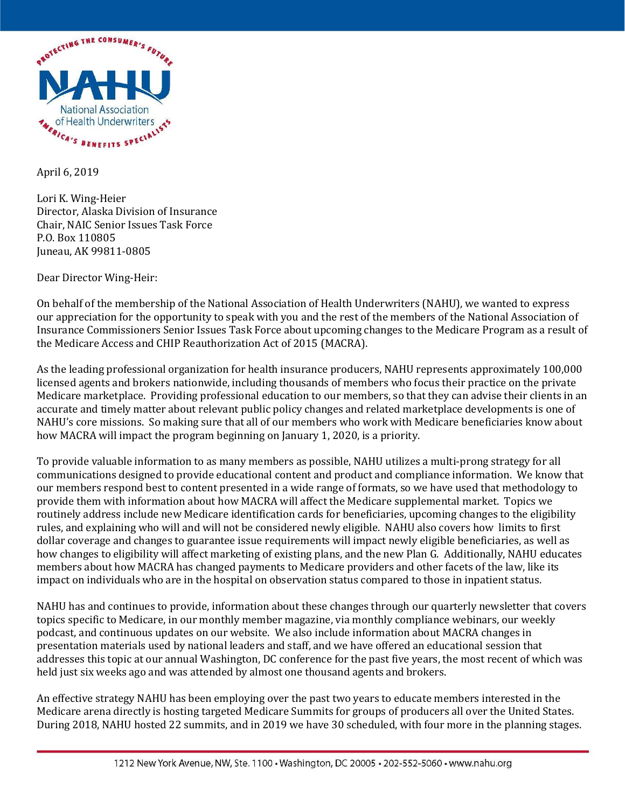

April 6, 2019

Lori K. Wing-Heier Director, Alaska Division of Insurance Chair, NAIC Senior Issues Task Force P.O. Box 110805 Juneau, AK 99811-0805

Dear Director Wing-Heir:

On behalf of the membership of the National Association of Health Underwriters (NAHU), we wanted to express our appreciation for the opportunity to speak with you and the rest of the members of the National Association of Insurance Commissioners Senior Issues Task Force about upcoming changes to the Medicare Program as a result of the Medicare Access and CHIP Reauthorization Act of 2015 (MACRA).

As the leading professional organization for health insurance producers, NAHU represents approximately 100,000 licensed agents and brokers nationwide, including thousands of members who focus their practice on the private Medicare marketplace. Providing professional education to our members, so that they can advise their clients in an accurate and timely matter about relevant public policy changes and related marketplace developments is one of NAHU's core missions. So making sure that all of our members who work with Medicare beneficiaries know about how MACRA will impact the program beginning on January 1, 2020, is a priority.

To provide valuable information to as many members as possible, NAHU utilizes a multi-prong strategy for all communications designed to provide educational content and product and compliance information. We know that our members respond best to content presented in a wide range of formats, so we have used that methodology to provide them with information about how MACRA will affect the Medicare supplemental market. Topics we routinely address include new Medicare identification cards for beneficiaries, upcoming changes to the eligibility rules, and explaining who will and will not be considered newly eligible. NAHU also covers how limits to first dollar coverage and changes to guarantee issue requirements will impact newly eligible beneficiaries, as well as how changes to eligibility will affect marketing of existing plans, and the new Plan G. Additionally, NAHU educates members about how MACRA has changed payments to Medicare providers and other facets of the law, like its impact on individuals who are in the hospital on observation status compared to those in inpatient status.

NAHU has and continues to provide, information about these changes through our quarterly newsletter that covers topics specific to Medicare, in our monthly member magazine, via monthly compliance webinars, our weekly podcast, and continuous updates on our website. We also include information about MACRA changes in presentation materials used by national leaders and staff, and we have offered an educational session that addresses this topic at our annual Washington, DC conference for the past five years, the most recent of which was held just six weeks ago and was attended by almost one thousand agents and brokers.

An effective strategy NAHU has been employing over the past two years to educate members interested in the Medicare arena directly is hosting targeted Medicare Summits for groups of producers all over the United States. During 2018, NAHU hosted 22 summits, and in 2019 we have 30 scheduled, with four more in the planning stages.